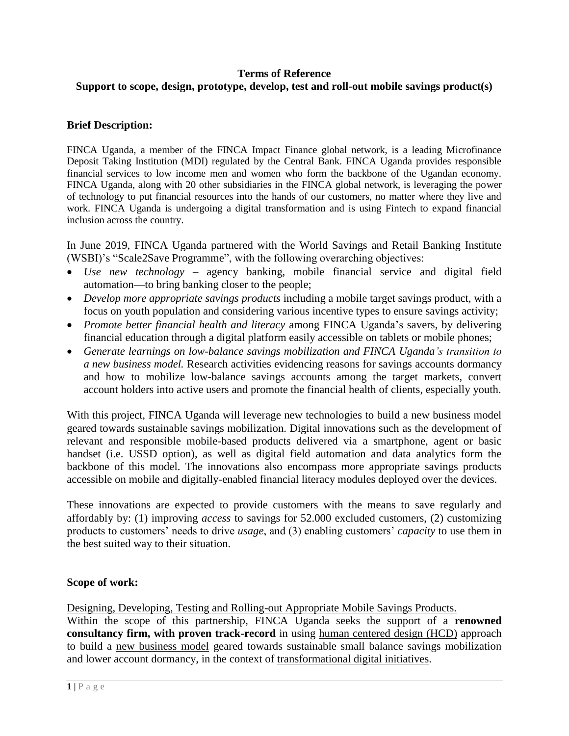### **Terms of Reference Support to scope, design, prototype, develop, test and roll-out mobile savings product(s)**

## **Brief Description:**

FINCA Uganda, a member of the FINCA Impact Finance global network, is a leading Microfinance Deposit Taking Institution (MDI) regulated by the Central Bank. FINCA Uganda provides responsible financial services to low income men and women who form the backbone of the Ugandan economy. FINCA Uganda, along with 20 other subsidiaries in the FINCA global network, is leveraging the power of technology to put financial resources into the hands of our customers, no matter where they live and work. FINCA Uganda is undergoing a digital transformation and is using Fintech to expand financial inclusion across the country.

In June 2019, FINCA Uganda partnered with the World Savings and Retail Banking Institute (WSBI)'s "Scale2Save Programme", with the following overarching objectives:

- *Use new technology* agency banking, mobile financial service and digital field automation—to bring banking closer to the people;
- *Develop more appropriate savings products* including a mobile target savings product, with a focus on youth population and considering various incentive types to ensure savings activity;
- *Promote better financial health and literacy* among FINCA Uganda's savers, by delivering financial education through a digital platform easily accessible on tablets or mobile phones;
- *Generate learnings on low-balance savings mobilization and FINCA Uganda's transition to a new business model.* Research activities evidencing reasons for savings accounts dormancy and how to mobilize low-balance savings accounts among the target markets, convert account holders into active users and promote the financial health of clients, especially youth.

With this project, FINCA Uganda will leverage new technologies to build a new business model geared towards sustainable savings mobilization. Digital innovations such as the development of relevant and responsible mobile-based products delivered via a smartphone, agent or basic handset (i.e. USSD option), as well as digital field automation and data analytics form the backbone of this model. The innovations also encompass more appropriate savings products accessible on mobile and digitally-enabled financial literacy modules deployed over the devices.

These innovations are expected to provide customers with the means to save regularly and affordably by: (1) improving *access* to savings for 52.000 excluded customers, (2) customizing products to customers' needs to drive *usage*, and (3) enabling customers' *capacity* to use them in the best suited way to their situation.

#### **Scope of work:**

Designing, Developing, Testing and Rolling-out Appropriate Mobile Savings Products.

Within the scope of this partnership, FINCA Uganda seeks the support of a **renowned consultancy firm, with proven track-record** in using human centered design (HCD) approach to build a new business model geared towards sustainable small balance savings mobilization and lower account dormancy, in the context of transformational digital initiatives.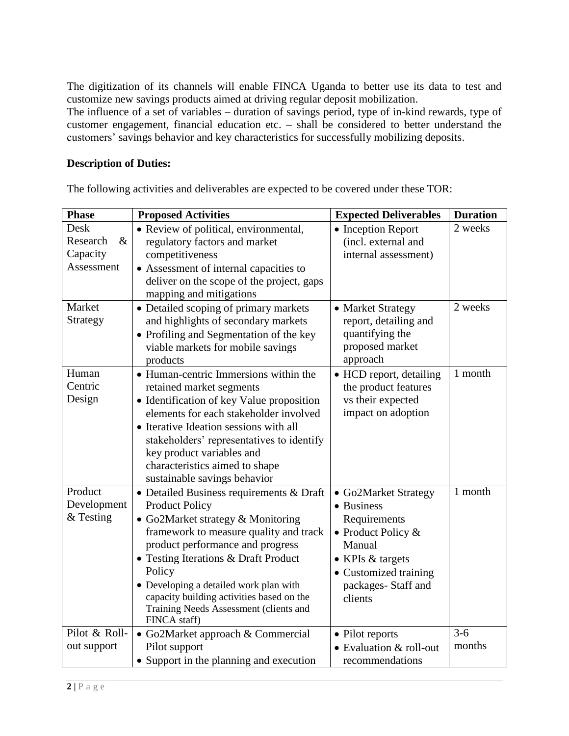The digitization of its channels will enable FINCA Uganda to better use its data to test and customize new savings products aimed at driving regular deposit mobilization.

The influence of a set of variables – duration of savings period, type of in-kind rewards, type of customer engagement, financial education etc. – shall be considered to better understand the customers' savings behavior and key characteristics for successfully mobilizing deposits.

### **Description of Duties:**

The following activities and deliverables are expected to be covered under these TOR:

| <b>Phase</b>                                       | <b>Proposed Activities</b>                                                                                                                                                                                                                                                                                                                                                              | <b>Expected Deliverables</b>                                                                                                                                       | <b>Duration</b> |
|----------------------------------------------------|-----------------------------------------------------------------------------------------------------------------------------------------------------------------------------------------------------------------------------------------------------------------------------------------------------------------------------------------------------------------------------------------|--------------------------------------------------------------------------------------------------------------------------------------------------------------------|-----------------|
| Desk<br>$\&$<br>Research<br>Capacity<br>Assessment | • Review of political, environmental,<br>regulatory factors and market<br>competitiveness<br>• Assessment of internal capacities to<br>deliver on the scope of the project, gaps<br>mapping and mitigations                                                                                                                                                                             | • Inception Report<br>(incl. external and<br>internal assessment)                                                                                                  | 2 weeks         |
| Market<br>Strategy                                 | • Detailed scoping of primary markets<br>and highlights of secondary markets<br>• Profiling and Segmentation of the key<br>viable markets for mobile savings<br>products                                                                                                                                                                                                                | • Market Strategy<br>report, detailing and<br>quantifying the<br>proposed market<br>approach                                                                       | 2 weeks         |
| Human<br>Centric<br>Design                         | • Human-centric Immersions within the<br>retained market segments<br>• Identification of key Value proposition<br>elements for each stakeholder involved<br>• Iterative Ideation sessions with all<br>stakeholders' representatives to identify<br>key product variables and<br>characteristics aimed to shape<br>sustainable savings behavior                                          | • HCD report, detailing<br>the product features<br>vs their expected<br>impact on adoption                                                                         | 1 month         |
| Product<br>Development<br>& Testing                | • Detailed Business requirements & Draft<br><b>Product Policy</b><br>• Go2Market strategy & Monitoring<br>framework to measure quality and track<br>product performance and progress<br>• Testing Iterations & Draft Product<br>Policy<br>• Developing a detailed work plan with<br>capacity building activities based on the<br>Training Needs Assessment (clients and<br>FINCA staff) | • Go2Market Strategy<br>• Business<br>Requirements<br>• Product Policy $&$<br>Manual<br>• KPIs & targets<br>• Customized training<br>packages-Staff and<br>clients | 1 month         |
| Pilot & Roll-<br>out support                       | • Go2Market approach & Commercial<br>Pilot support<br>• Support in the planning and execution                                                                                                                                                                                                                                                                                           | • Pilot reports<br>• Evaluation & roll-out<br>recommendations                                                                                                      | $3-6$<br>months |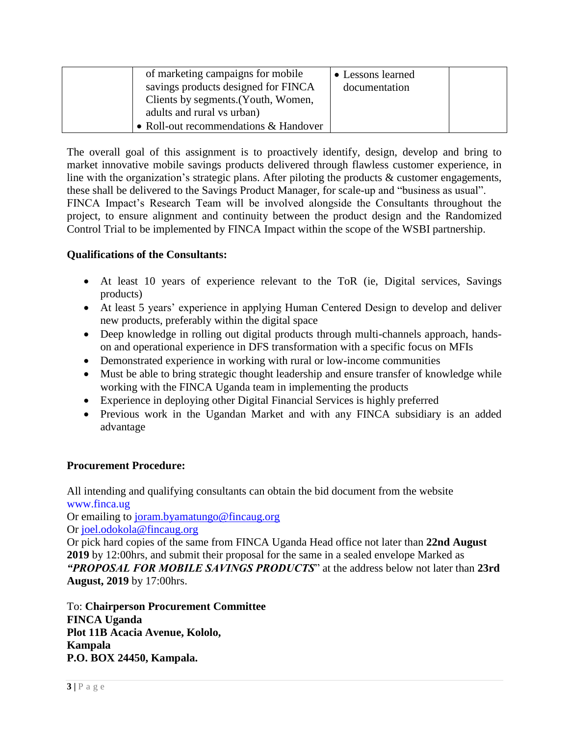| of marketing campaigns for mobile<br>savings products designed for FINCA<br>Clients by segments. (Youth, Women,<br>adults and rural vs urban) | • Lessons learned<br>documentation |  |
|-----------------------------------------------------------------------------------------------------------------------------------------------|------------------------------------|--|
| • Roll-out recommendations & Handover                                                                                                         |                                    |  |

The overall goal of this assignment is to proactively identify, design, develop and bring to market innovative mobile savings products delivered through flawless customer experience, in line with the organization's strategic plans. After piloting the products & customer engagements, these shall be delivered to the Savings Product Manager, for scale-up and "business as usual". FINCA Impact's Research Team will be involved alongside the Consultants throughout the project, to ensure alignment and continuity between the product design and the Randomized Control Trial to be implemented by FINCA Impact within the scope of the WSBI partnership.

# **Qualifications of the Consultants:**

- At least 10 years of experience relevant to the ToR (ie, Digital services, Savings products)
- At least 5 years' experience in applying Human Centered Design to develop and deliver new products, preferably within the digital space
- Deep knowledge in rolling out digital products through multi-channels approach, handson and operational experience in DFS transformation with a specific focus on MFIs
- Demonstrated experience in working with rural or low-income communities
- Must be able to bring strategic thought leadership and ensure transfer of knowledge while working with the FINCA Uganda team in implementing the products
- Experience in deploying other Digital Financial Services is highly preferred
- Previous work in the Ugandan Market and with any FINCA subsidiary is an added advantage

#### **Procurement Procedure:**

All intending and qualifying consultants can obtain the bid document from the website [www.finca.ug](http://www.finca.ug/) Or emailing to [joram.byamatungo@fincaug.org](mailto:joram.byamatungo@fincaug.org)

Or [joel.odokola@fincaug.org](mailto:joel.odokola@fincaug.org)

Or pick hard copies of the same from FINCA Uganda Head office not later than **22nd August 2019** by 12:00hrs, and submit their proposal for the same in a sealed envelope Marked as *"PROPOSAL FOR MOBILE SAVINGS PRODUCTS*" at the address below not later than **23rd August, 2019** by 17:00hrs.

To: **Chairperson Procurement Committee FINCA Uganda Plot 11B Acacia Avenue, Kololo, Kampala P.O. BOX 24450, Kampala.**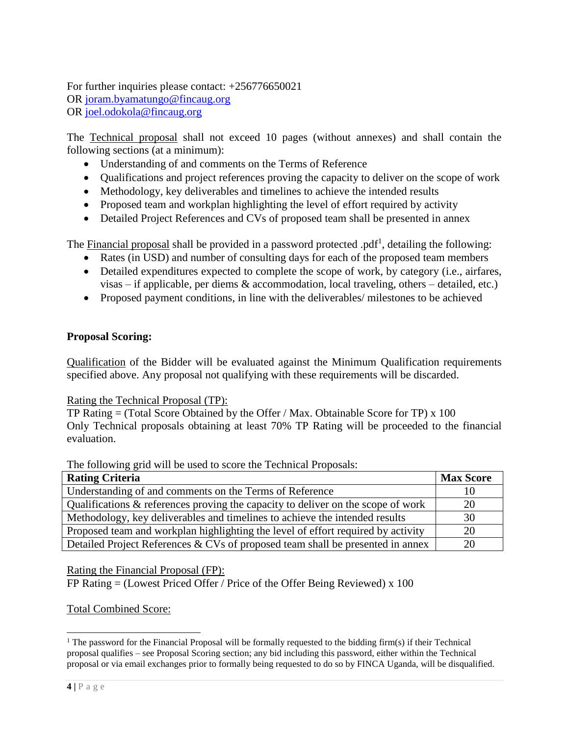For further inquiries please contact: +256776650021 OR [joram.byamatungo@fincaug.org](mailto:joram.byamatungo@fincaug.org) OR [joel.odokola@fincaug.org](mailto:joel.odokola@fincaug.org)

The Technical proposal shall not exceed 10 pages (without annexes) and shall contain the following sections (at a minimum):

- Understanding of and comments on the Terms of Reference
- Qualifications and project references proving the capacity to deliver on the scope of work
- Methodology, key deliverables and timelines to achieve the intended results
- Proposed team and workplan highlighting the level of effort required by activity
- Detailed Project References and CVs of proposed team shall be presented in annex

The **Financial proposal** shall be provided in a password protected .pdf<sup>1</sup>, detailing the following:

- Rates (in USD) and number of consulting days for each of the proposed team members
- Detailed expenditures expected to complete the scope of work, by category (i.e., airfares, visas – if applicable, per diems & accommodation, local traveling, others – detailed, etc.)
- Proposed payment conditions, in line with the deliverables/ milestones to be achieved

# **Proposal Scoring:**

Qualification of the Bidder will be evaluated against the Minimum Qualification requirements specified above. Any proposal not qualifying with these requirements will be discarded.

Rating the Technical Proposal (TP):

TP Rating  $=$  (Total Score Obtained by the Offer / Max. Obtainable Score for TP) x 100 Only Technical proposals obtaining at least 70% TP Rating will be proceeded to the financial evaluation.

The following grid will be used to score the Technical Proposals:

| <b>Rating Criteria</b>                                                              | <b>Max Score</b> |
|-------------------------------------------------------------------------------------|------------------|
| Understanding of and comments on the Terms of Reference                             |                  |
| Qualifications $\&$ references proving the capacity to deliver on the scope of work | 20               |
| Methodology, key deliverables and timelines to achieve the intended results         | 30               |
| Proposed team and workplan highlighting the level of effort required by activity    | 20               |
| Detailed Project References & CVs of proposed team shall be presented in annex      | 20               |

Rating the Financial Proposal (FP):

FP Rating  $=$  (Lowest Priced Offer / Price of the Offer Being Reviewed) x 100

Total Combined Score:

 $\overline{a}$ 

<sup>&</sup>lt;sup>1</sup> The password for the Financial Proposal will be formally requested to the bidding firm(s) if their Technical proposal qualifies – see Proposal Scoring section; any bid including this password, either within the Technical proposal or via email exchanges prior to formally being requested to do so by FINCA Uganda, will be disqualified.